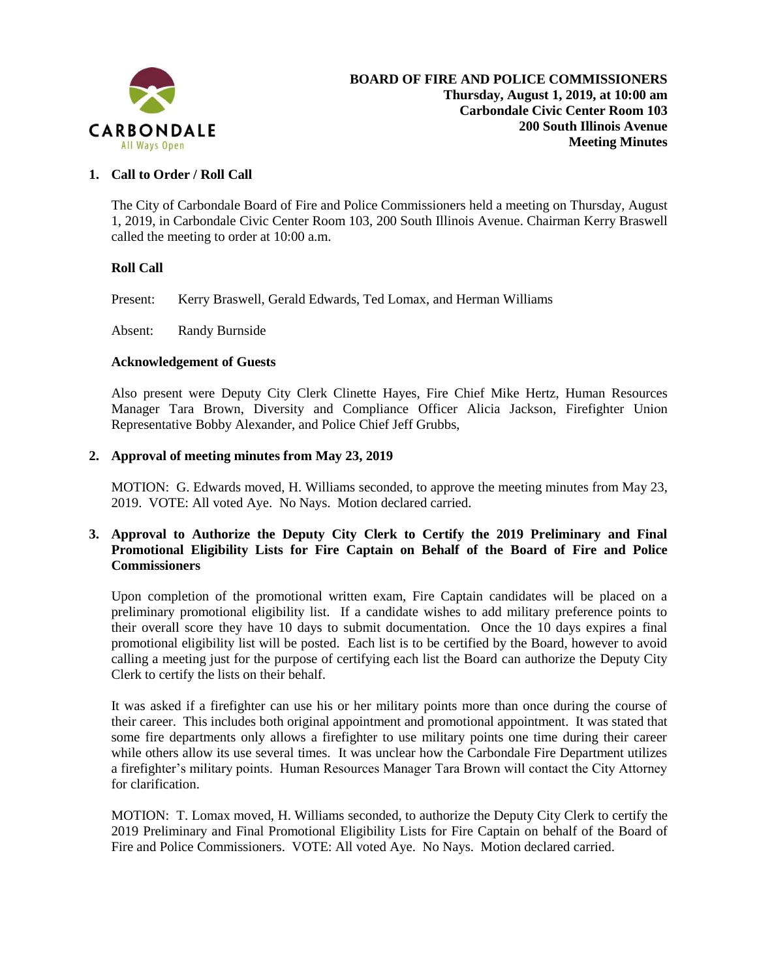

### **1. Call to Order / Roll Call**

The City of Carbondale Board of Fire and Police Commissioners held a meeting on Thursday, August 1, 2019, in Carbondale Civic Center Room 103, 200 South Illinois Avenue. Chairman Kerry Braswell called the meeting to order at 10:00 a.m.

#### **Roll Call**

Present: Kerry Braswell, Gerald Edwards, Ted Lomax, and Herman Williams

Absent: Randy Burnside

#### **Acknowledgement of Guests**

Also present were Deputy City Clerk Clinette Hayes, Fire Chief Mike Hertz, Human Resources Manager Tara Brown, Diversity and Compliance Officer Alicia Jackson, Firefighter Union Representative Bobby Alexander, and Police Chief Jeff Grubbs,

#### **2. Approval of meeting minutes from May 23, 2019**

MOTION: G. Edwards moved, H. Williams seconded, to approve the meeting minutes from May 23, 2019. VOTE: All voted Aye. No Nays. Motion declared carried.

### **3. Approval to Authorize the Deputy City Clerk to Certify the 2019 Preliminary and Final Promotional Eligibility Lists for Fire Captain on Behalf of the Board of Fire and Police Commissioners**

Upon completion of the promotional written exam, Fire Captain candidates will be placed on a preliminary promotional eligibility list. If a candidate wishes to add military preference points to their overall score they have 10 days to submit documentation. Once the 10 days expires a final promotional eligibility list will be posted. Each list is to be certified by the Board, however to avoid calling a meeting just for the purpose of certifying each list the Board can authorize the Deputy City Clerk to certify the lists on their behalf.

It was asked if a firefighter can use his or her military points more than once during the course of their career. This includes both original appointment and promotional appointment. It was stated that some fire departments only allows a firefighter to use military points one time during their career while others allow its use several times. It was unclear how the Carbondale Fire Department utilizes a firefighter's military points. Human Resources Manager Tara Brown will contact the City Attorney for clarification.

MOTION: T. Lomax moved, H. Williams seconded, to authorize the Deputy City Clerk to certify the 2019 Preliminary and Final Promotional Eligibility Lists for Fire Captain on behalf of the Board of Fire and Police Commissioners. VOTE: All voted Aye. No Nays. Motion declared carried.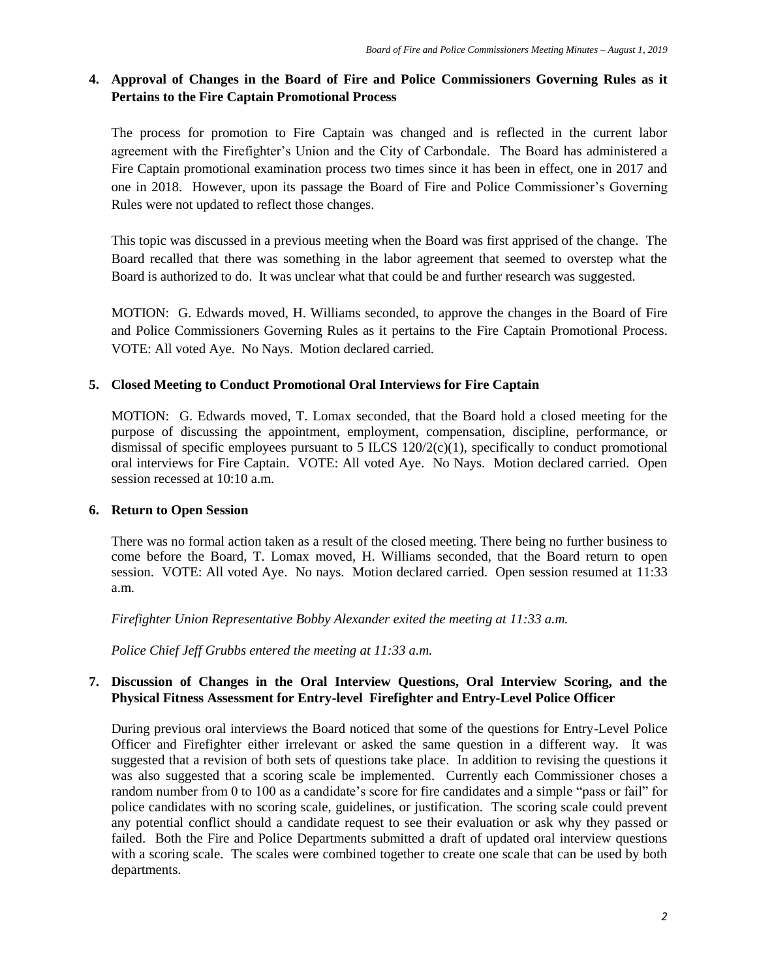# **4. Approval of Changes in the Board of Fire and Police Commissioners Governing Rules as it Pertains to the Fire Captain Promotional Process**

The process for promotion to Fire Captain was changed and is reflected in the current labor agreement with the Firefighter's Union and the City of Carbondale. The Board has administered a Fire Captain promotional examination process two times since it has been in effect, one in 2017 and one in 2018. However, upon its passage the Board of Fire and Police Commissioner's Governing Rules were not updated to reflect those changes.

This topic was discussed in a previous meeting when the Board was first apprised of the change. The Board recalled that there was something in the labor agreement that seemed to overstep what the Board is authorized to do. It was unclear what that could be and further research was suggested.

MOTION: G. Edwards moved, H. Williams seconded, to approve the changes in the Board of Fire and Police Commissioners Governing Rules as it pertains to the Fire Captain Promotional Process. VOTE: All voted Aye. No Nays. Motion declared carried.

## **5. Closed Meeting to Conduct Promotional Oral Interviews for Fire Captain**

MOTION: G. Edwards moved, T. Lomax seconded, that the Board hold a closed meeting for the purpose of discussing the appointment, employment, compensation, discipline, performance, or dismissal of specific employees pursuant to 5 ILCS  $120/2(c)(1)$ , specifically to conduct promotional oral interviews for Fire Captain. VOTE: All voted Aye. No Nays. Motion declared carried. Open session recessed at 10:10 a.m.

## **6. Return to Open Session**

There was no formal action taken as a result of the closed meeting. There being no further business to come before the Board, T. Lomax moved, H. Williams seconded, that the Board return to open session. VOTE: All voted Aye. No nays. Motion declared carried. Open session resumed at 11:33 a.m.

*Firefighter Union Representative Bobby Alexander exited the meeting at 11:33 a.m.* 

*Police Chief Jeff Grubbs entered the meeting at 11:33 a.m.*

## **7. Discussion of Changes in the Oral Interview Questions, Oral Interview Scoring, and the Physical Fitness Assessment for Entry-level Firefighter and Entry-Level Police Officer**

During previous oral interviews the Board noticed that some of the questions for Entry-Level Police Officer and Firefighter either irrelevant or asked the same question in a different way. It was suggested that a revision of both sets of questions take place. In addition to revising the questions it was also suggested that a scoring scale be implemented. Currently each Commissioner choses a random number from 0 to 100 as a candidate's score for fire candidates and a simple "pass or fail" for police candidates with no scoring scale, guidelines, or justification. The scoring scale could prevent any potential conflict should a candidate request to see their evaluation or ask why they passed or failed. Both the Fire and Police Departments submitted a draft of updated oral interview questions with a scoring scale. The scales were combined together to create one scale that can be used by both departments.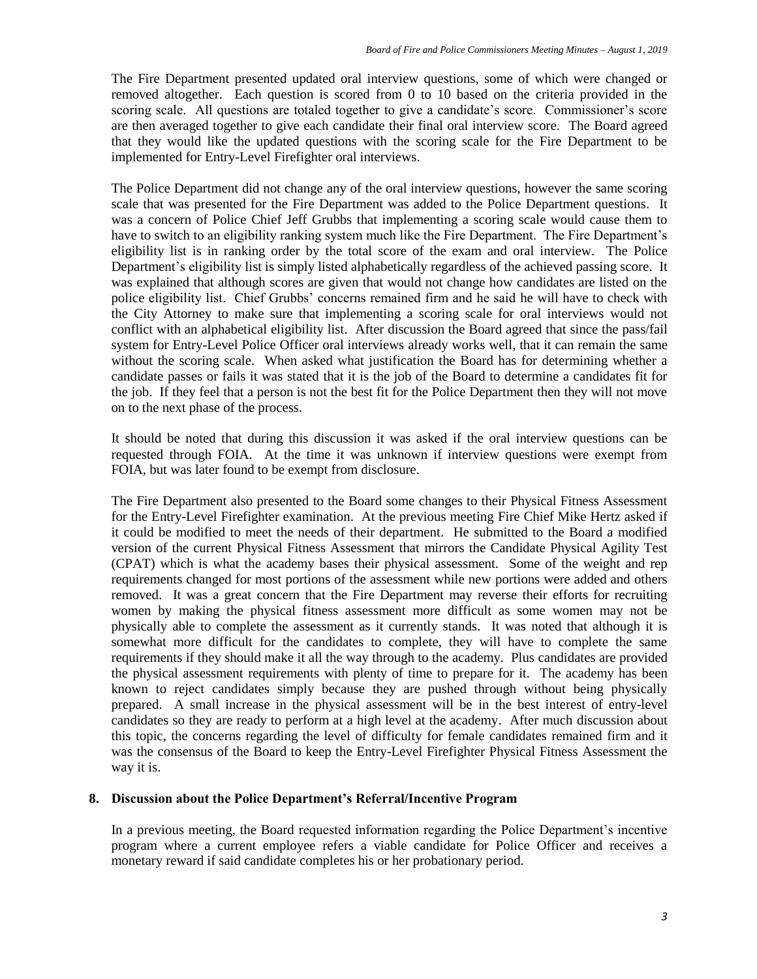The Fire Department presented updated oral interview questions, some of which were changed or removed altogether. Each question is scored from 0 to 10 based on the criteria provided in the scoring scale. All questions are totaled together to give a candidate's score. Commissioner's score are then averaged together to give each candidate their final oral interview score. The Board agreed that they would like the updated questions with the scoring scale for the Fire Department to be implemented for Entry-Level Firefighter oral interviews.

The Police Department did not change any of the oral interview questions, however the same scoring scale that was presented for the Fire Department was added to the Police Department questions. It was a concern of Police Chief Jeff Grubbs that implementing a scoring scale would cause them to have to switch to an eligibility ranking system much like the Fire Department. The Fire Department's eligibility list is in ranking order by the total score of the exam and oral interview. The Police Department's eligibility list is simply listed alphabetically regardless of the achieved passing score. It was explained that although scores are given that would not change how candidates are listed on the police eligibility list. Chief Grubbs' concerns remained firm and he said he will have to check with the City Attorney to make sure that implementing a scoring scale for oral interviews would not conflict with an alphabetical eligibility list. After discussion the Board agreed that since the pass/fail system for Entry-Level Police Officer oral interviews already works well, that it can remain the same without the scoring scale. When asked what justification the Board has for determining whether a candidate passes or fails it was stated that it is the job of the Board to determine a candidates fit for the job. If they feel that a person is not the best fit for the Police Department then they will not move on to the next phase of the process.

It should be noted that during this discussion it was asked if the oral interview questions can be requested through FOIA. At the time it was unknown if interview questions were exempt from FOIA, but was later found to be exempt from disclosure.

The Fire Department also presented to the Board some changes to their Physical Fitness Assessment for the Entry-Level Firefighter examination. At the previous meeting Fire Chief Mike Hertz asked if it could be modified to meet the needs of their department. He submitted to the Board a modified version of the current Physical Fitness Assessment that mirrors the Candidate Physical Agility Test (CPAT) which is what the academy bases their physical assessment. Some of the weight and rep requirements changed for most portions of the assessment while new portions were added and others removed. It was a great concern that the Fire Department may reverse their efforts for recruiting women by making the physical fitness assessment more difficult as some women may not be physically able to complete the assessment as it currently stands. It was noted that although it is somewhat more difficult for the candidates to complete, they will have to complete the same requirements if they should make it all the way through to the academy. Plus candidates are provided the physical assessment requirements with plenty of time to prepare for it. The academy has been known to reject candidates simply because they are pushed through without being physically prepared. A small increase in the physical assessment will be in the best interest of entry-level candidates so they are ready to perform at a high level at the academy. After much discussion about this topic, the concerns regarding the level of difficulty for female candidates remained firm and it was the consensus of the Board to keep the Entry-Level Firefighter Physical Fitness Assessment the way it is.

#### **8. Discussion about the Police Department's Referral/Incentive Program**

In a previous meeting, the Board requested information regarding the Police Department's incentive program where a current employee refers a viable candidate for Police Officer and receives a monetary reward if said candidate completes his or her probationary period.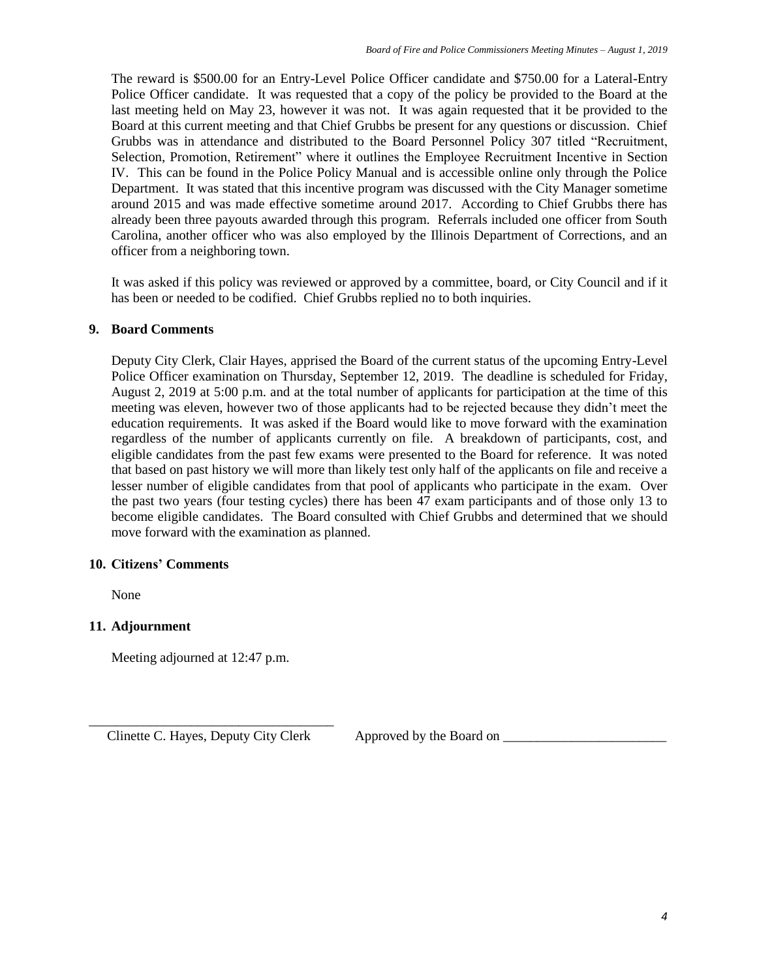The reward is \$500.00 for an Entry-Level Police Officer candidate and \$750.00 for a Lateral-Entry Police Officer candidate. It was requested that a copy of the policy be provided to the Board at the last meeting held on May 23, however it was not. It was again requested that it be provided to the Board at this current meeting and that Chief Grubbs be present for any questions or discussion. Chief Grubbs was in attendance and distributed to the Board Personnel Policy 307 titled "Recruitment, Selection, Promotion, Retirement" where it outlines the Employee Recruitment Incentive in Section IV. This can be found in the Police Policy Manual and is accessible online only through the Police Department. It was stated that this incentive program was discussed with the City Manager sometime around 2015 and was made effective sometime around 2017. According to Chief Grubbs there has already been three payouts awarded through this program. Referrals included one officer from South Carolina, another officer who was also employed by the Illinois Department of Corrections, and an officer from a neighboring town.

It was asked if this policy was reviewed or approved by a committee, board, or City Council and if it has been or needed to be codified. Chief Grubbs replied no to both inquiries.

#### **9. Board Comments**

Deputy City Clerk, Clair Hayes, apprised the Board of the current status of the upcoming Entry-Level Police Officer examination on Thursday, September 12, 2019. The deadline is scheduled for Friday, August 2, 2019 at 5:00 p.m. and at the total number of applicants for participation at the time of this meeting was eleven, however two of those applicants had to be rejected because they didn't meet the education requirements. It was asked if the Board would like to move forward with the examination regardless of the number of applicants currently on file. A breakdown of participants, cost, and eligible candidates from the past few exams were presented to the Board for reference. It was noted that based on past history we will more than likely test only half of the applicants on file and receive a lesser number of eligible candidates from that pool of applicants who participate in the exam. Over the past two years (four testing cycles) there has been 47 exam participants and of those only 13 to become eligible candidates. The Board consulted with Chief Grubbs and determined that we should move forward with the examination as planned.

#### **10. Citizens' Comments**

None

#### **11. Adjournment**

Meeting adjourned at 12:47 p.m.

\_\_\_\_\_\_\_\_\_\_\_\_\_\_\_\_\_\_\_\_\_\_\_\_\_\_\_\_\_\_\_\_\_\_\_\_ Clinette C. Hayes, Deputy City Clerk Approved by the Board on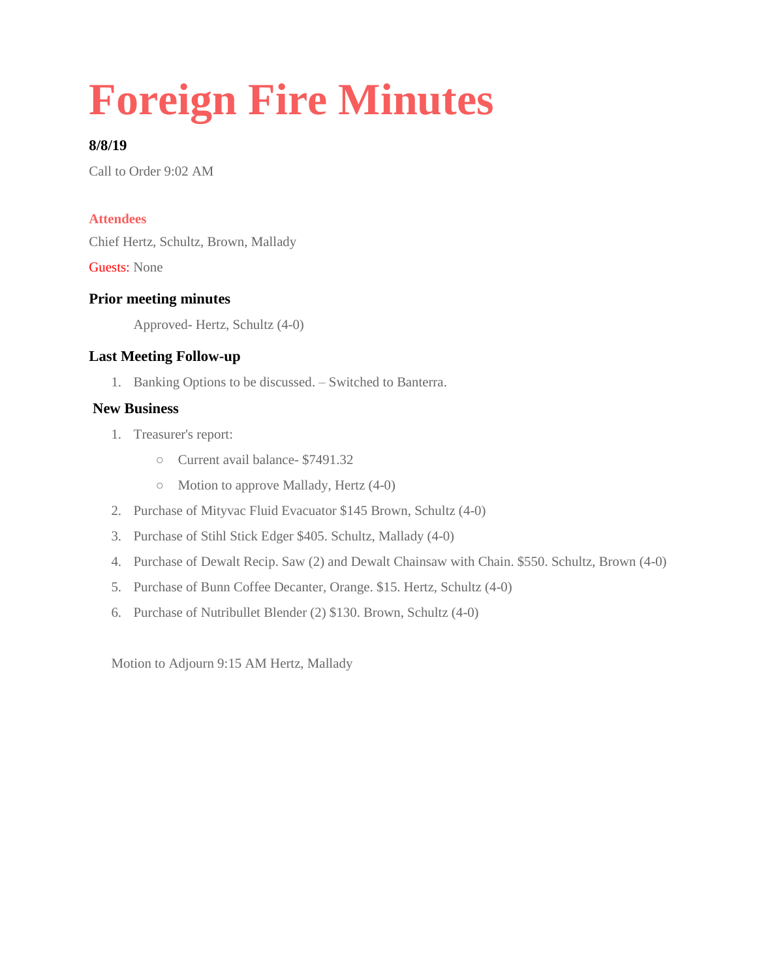# **Foreign Fire Minutes**

# **8/8/19**

Call to Order 9:02 AM

#### **Attendees**

Chief Hertz, Schultz, Brown, Mallady

Guests: None

## **Prior meeting minutes**

Approved- Hertz, Schultz (4-0)

## **Last Meeting Follow-up**

1. Banking Options to be discussed. – Switched to Banterra.

#### **New Business**

- 1. Treasurer's report:
	- Current avail balance- \$7491.32
	- Motion to approve Mallady, Hertz (4-0)
- 2. Purchase of Mityvac Fluid Evacuator \$145 Brown, Schultz (4-0)
- 3. Purchase of Stihl Stick Edger \$405. Schultz, Mallady (4-0)
- 4. Purchase of Dewalt Recip. Saw (2) and Dewalt Chainsaw with Chain. \$550. Schultz, Brown (4-0)
- 5. Purchase of Bunn Coffee Decanter, Orange. \$15. Hertz, Schultz (4-0)
- 6. Purchase of Nutribullet Blender (2) \$130. Brown, Schultz (4-0)

Motion to Adjourn 9:15 AM Hertz, Mallady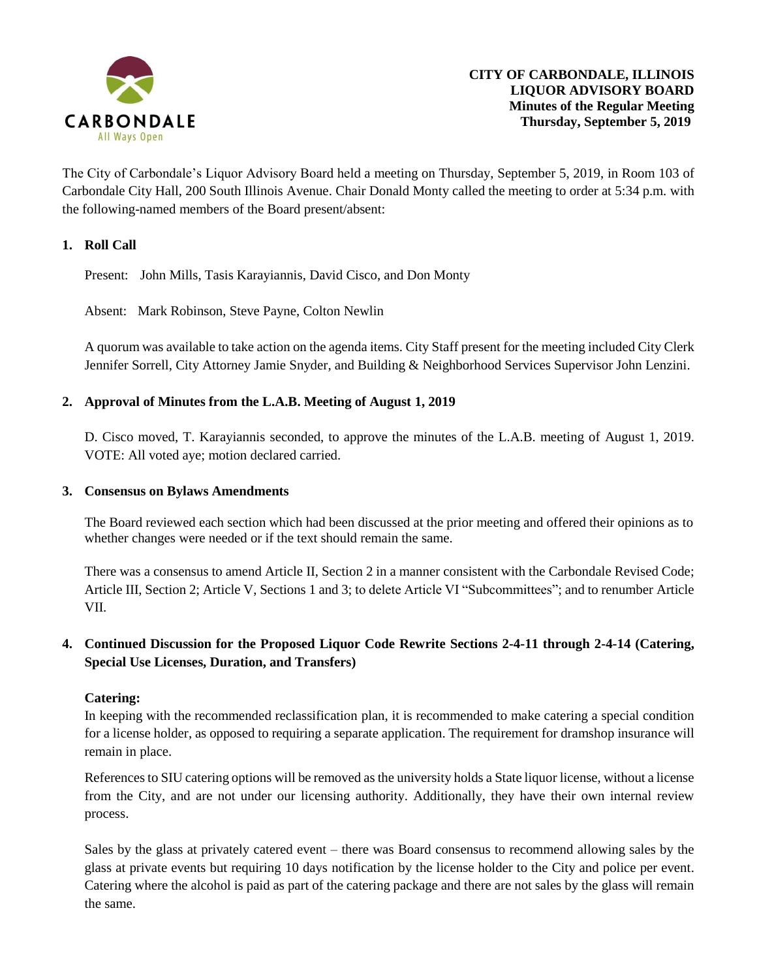

The City of Carbondale's Liquor Advisory Board held a meeting on Thursday, September 5, 2019, in Room 103 of Carbondale City Hall, 200 South Illinois Avenue. Chair Donald Monty called the meeting to order at 5:34 p.m. with the following-named members of the Board present/absent:

## **1. Roll Call**

Present: John Mills, Tasis Karayiannis, David Cisco, and Don Monty

Absent: Mark Robinson, Steve Payne, Colton Newlin

A quorum was available to take action on the agenda items. City Staff present for the meeting included City Clerk Jennifer Sorrell, City Attorney Jamie Snyder, and Building & Neighborhood Services Supervisor John Lenzini.

### **2. Approval of Minutes from the L.A.B. Meeting of August 1, 2019**

D. Cisco moved, T. Karayiannis seconded, to approve the minutes of the L.A.B. meeting of August 1, 2019. VOTE: All voted aye; motion declared carried.

#### **3. Consensus on Bylaws Amendments**

The Board reviewed each section which had been discussed at the prior meeting and offered their opinions as to whether changes were needed or if the text should remain the same.

There was a consensus to amend Article II, Section 2 in a manner consistent with the Carbondale Revised Code; Article III, Section 2; Article V, Sections 1 and 3; to delete Article VI "Subcommittees"; and to renumber Article VII.

# **4. Continued Discussion for the Proposed Liquor Code Rewrite Sections 2-4-11 through 2-4-14 (Catering, Special Use Licenses, Duration, and Transfers)**

#### **Catering:**

In keeping with the recommended reclassification plan, it is recommended to make catering a special condition for a license holder, as opposed to requiring a separate application. The requirement for dramshop insurance will remain in place.

References to SIU catering options will be removed as the university holds a State liquor license, without a license from the City, and are not under our licensing authority. Additionally, they have their own internal review process.

Sales by the glass at privately catered event – there was Board consensus to recommend allowing sales by the glass at private events but requiring 10 days notification by the license holder to the City and police per event. Catering where the alcohol is paid as part of the catering package and there are not sales by the glass will remain the same.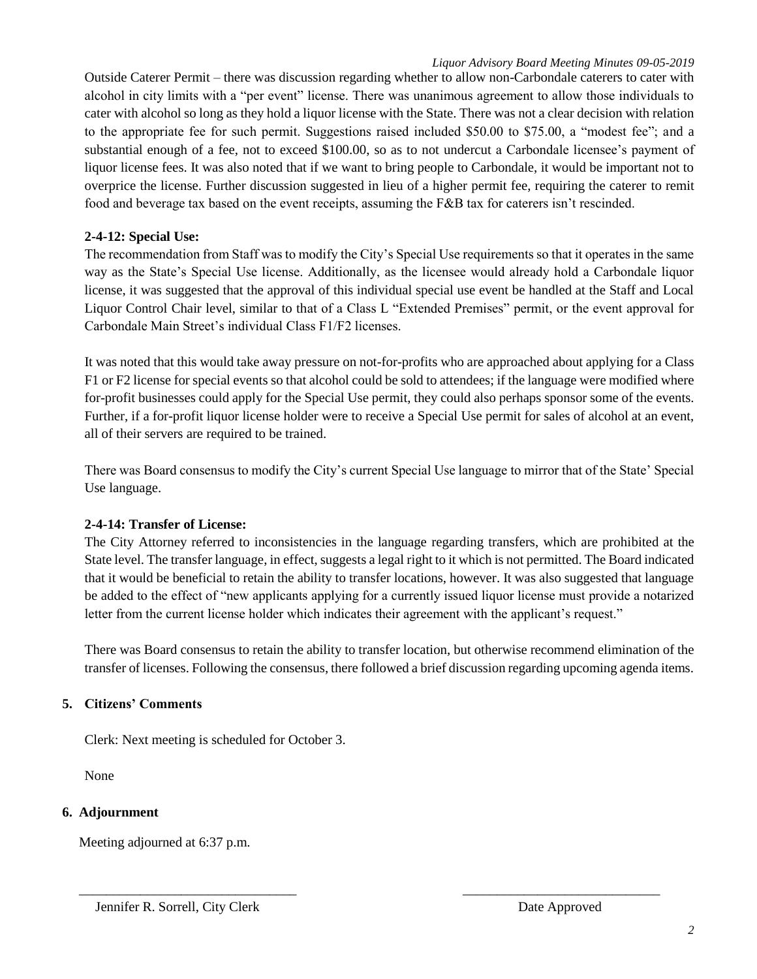Outside Caterer Permit – there was discussion regarding whether to allow non-Carbondale caterers to cater with alcohol in city limits with a "per event" license. There was unanimous agreement to allow those individuals to cater with alcohol so long as they hold a liquor license with the State. There was not a clear decision with relation to the appropriate fee for such permit. Suggestions raised included \$50.00 to \$75.00, a "modest fee"; and a substantial enough of a fee, not to exceed \$100.00, so as to not undercut a Carbondale licensee's payment of liquor license fees. It was also noted that if we want to bring people to Carbondale, it would be important not to overprice the license. Further discussion suggested in lieu of a higher permit fee, requiring the caterer to remit food and beverage tax based on the event receipts, assuming the F&B tax for caterers isn't rescinded.

## **2-4-12: Special Use:**

The recommendation from Staff was to modify the City's Special Use requirements so that it operates in the same way as the State's Special Use license. Additionally, as the licensee would already hold a Carbondale liquor license, it was suggested that the approval of this individual special use event be handled at the Staff and Local Liquor Control Chair level, similar to that of a Class L "Extended Premises" permit, or the event approval for Carbondale Main Street's individual Class F1/F2 licenses.

It was noted that this would take away pressure on not-for-profits who are approached about applying for a Class F1 or F2 license for special events so that alcohol could be sold to attendees; if the language were modified where for-profit businesses could apply for the Special Use permit, they could also perhaps sponsor some of the events. Further, if a for-profit liquor license holder were to receive a Special Use permit for sales of alcohol at an event, all of their servers are required to be trained.

There was Board consensus to modify the City's current Special Use language to mirror that of the State' Special Use language.

# **2-4-14: Transfer of License:**

The City Attorney referred to inconsistencies in the language regarding transfers, which are prohibited at the State level. The transfer language, in effect, suggests a legal right to it which is not permitted. The Board indicated that it would be beneficial to retain the ability to transfer locations, however. It was also suggested that language be added to the effect of "new applicants applying for a currently issued liquor license must provide a notarized letter from the current license holder which indicates their agreement with the applicant's request."

There was Board consensus to retain the ability to transfer location, but otherwise recommend elimination of the transfer of licenses. Following the consensus, there followed a brief discussion regarding upcoming agenda items.

\_\_\_\_\_\_\_\_\_\_\_\_\_\_\_\_\_\_\_\_\_\_\_\_\_\_\_\_\_\_\_\_ \_\_\_\_\_\_\_\_\_\_\_\_\_\_\_\_\_\_\_\_\_\_\_\_\_\_\_\_\_

# **5. Citizens' Comments**

Clerk: Next meeting is scheduled for October 3.

None

# **6. Adjournment**

Meeting adjourned at 6:37 p.m.

Jennifer R. Sorrell, City Clerk **Date Approved**